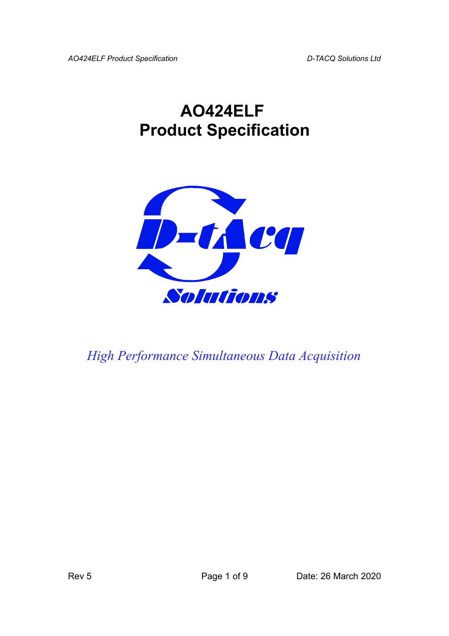*AO424ELF Product Specification D-TACQ Solutions Ltd*

## **AO424ELF Product Specification**



*High Performance Simultaneous Data Acquisition*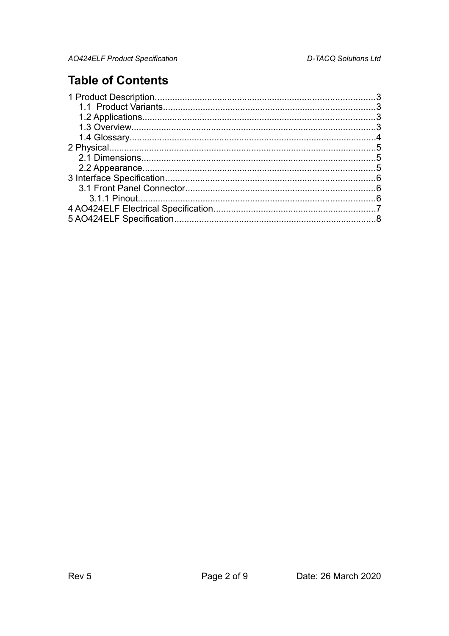## **Table of Contents**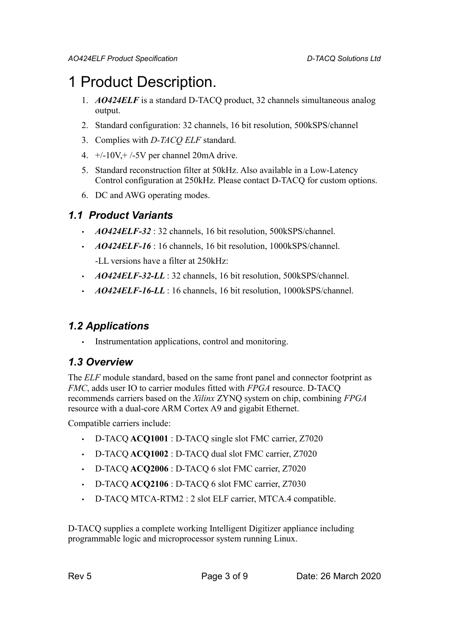## <span id="page-2-0"></span>1 Product Description.

- 1. *AO424ELF* is a standard D-TACQ product, 32 channels simultaneous analog output.
- 2. Standard configuration: 32 channels, 16 bit resolution, 500kSPS/channel
- 3. Complies with *D-TACQ ELF* standard.
- 4.  $+/-10V$ ,  $+/-5V$  per channel 20mA drive.
- 5. Standard reconstruction filter at 50kHz. Also available in a Low-Latency Control configuration at 250kHz. Please contact D-TACQ for custom options.
- 6. DC and AWG operating modes.

### <span id="page-2-3"></span>*1.1 Product Variants*

- *AO424ELF-32* : 32 channels, 16 bit resolution, 500kSPS/channel.
- *AO424ELF-16* : 16 channels, 16 bit resolution, 1000kSPS/channel. -LL versions have a filter at 250kHz:
- *AO424ELF-32-LL* : 32 channels, 16 bit resolution, 500kSPS/channel.
- *AO424ELF-16-LL* : 16 channels, 16 bit resolution, 1000kSPS/channel.

### <span id="page-2-2"></span>*1.2 Applications*

Instrumentation applications, control and monitoring.

### <span id="page-2-1"></span>*1.3 Overview*

The *ELF* module standard, based on the same front panel and connector footprint as *FMC*, adds user IO to carrier modules fitted with *FPGA* resource. D-TACQ recommends carriers based on the *Xilinx* ZYNQ system on chip, combining *FPGA* resource with a dual-core ARM Cortex A9 and gigabit Ethernet.

Compatible carriers include:

- D-TACQ **ACQ1001** : D-TACQ single slot FMC carrier, Z7020
- D-TACQ **ACQ1002** : D-TACQ dual slot FMC carrier, Z7020
- D-TACQ **ACQ2006** : D-TACQ 6 slot FMC carrier, Z7020
- D-TACQ **ACQ2106** : D-TACQ 6 slot FMC carrier, Z7030
- D-TACQ MTCA-RTM2 : 2 slot ELF carrier, MTCA.4 compatible.

D-TACQ supplies a complete working Intelligent Digitizer appliance including programmable logic and microprocessor system running Linux.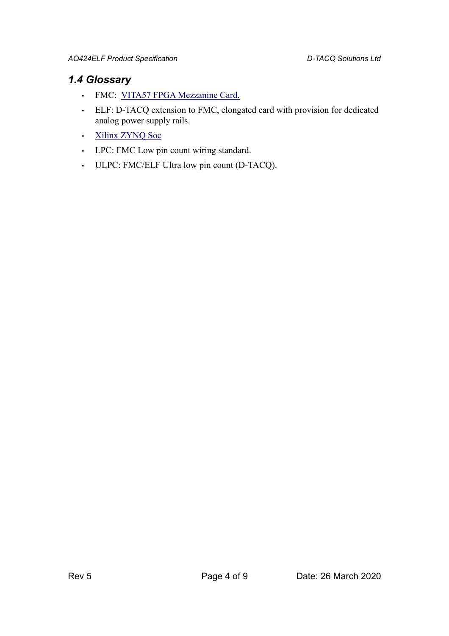### <span id="page-3-0"></span>*1.4 Glossary*

- FMC: [VITA57 FPGA Mezzanine Card.](http://www.vita.com/fmc.html)
- ELF: D-TACQ extension to FMC, elongated card with provision for dedicated analog power supply rails.
- [Xilinx ZYNQ Soc](http://www.xilinx.com/products/silicon-devices/soc/zynq-7000/index.htm)
- LPC: FMC Low pin count wiring standard.
- ULPC: FMC/ELF Ultra low pin count (D-TACQ).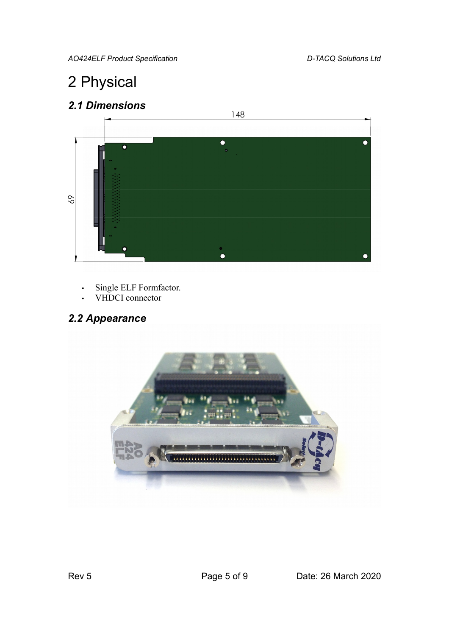*AO424ELF Product Specification D-TACQ Solutions Ltd*

## <span id="page-4-2"></span>2 Physical

<span id="page-4-1"></span>*2.1 Dimensions*



- Single ELF Formfactor.
- VHDCI connector

## <span id="page-4-0"></span>*2.2 Appearance*

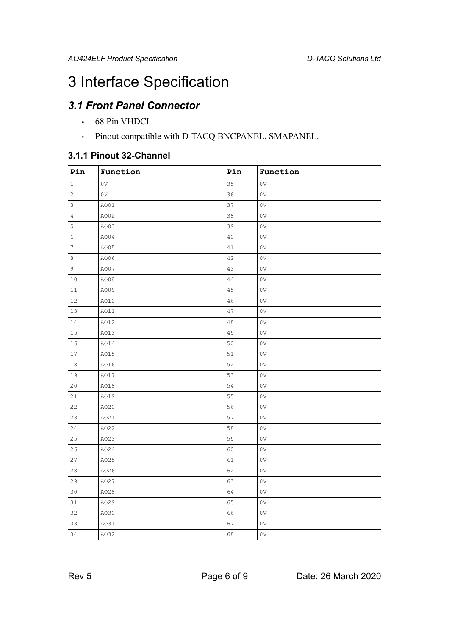## <span id="page-5-2"></span>3 Interface Specification

### *3.1 Front Panel Connector*

- <span id="page-5-1"></span>• 68 Pin VHDCI
- <span id="page-5-0"></span>• Pinout compatible with D-TACQ BNCPANEL, SMAPANEL.

#### **3.1.1 Pinout 32-Channel**

| Pin            | Function | Pin | Function       |
|----------------|----------|-----|----------------|
| $\mathbf{1}$   | 0V       | 35  | 0V             |
| $\mathbf{2}$   | 0V       | 36  | 0V             |
| 3              | AO01     | 37  | 0V             |
| 4              | A002     | 38  | 0V             |
| 5              | AO03     | 39  | 0V             |
| 6              | AO04     | 40  | 0V             |
| $\overline{7}$ | AO05     | 41  | 0V             |
| 8              | AO06     | 42  | 0V             |
| 9              | A007     | 43  | 0V             |
| 10             | A008     | 44  | 0V             |
| $1\,1$         | A009     | 45  | 0V             |
| 12             | AO10     | 46  | 0V             |
| 13             | A011     | 47  | 0V             |
| 14             | A012     | 48  | 0V             |
| 15             | AO13     | 49  | 0 <sub>V</sub> |
| 16             | AO14     | 50  | 0 <sub>V</sub> |
| 17             | A015     | 51  | 0V             |
| 18             | A016     | 52  | 0 <sub>V</sub> |
| 19             | A017     | 53  | 0V             |
| 20             | A018     | 54  | 0V             |
| 21             | A019     | 55  | 0V             |
| 22             | A020     | 56  | 0 <sub>V</sub> |
| 23             | A021     | 57  | 0V             |
| 24             | A022     | 58  | 0 <sub>V</sub> |
| 25             | A023     | 59  | 0V             |
| 26             | A024     | 60  | 0V             |
| 27             | A025     | 61  | 0V             |
| 28             | A026     | 62  | 0V             |
| 29             | A027     | 63  | 0V             |
| 30             | A028     | 64  | 0 <sub>V</sub> |
| 31             | A029     | 65  | 0V             |
| 32             | AO30     | 66  | 0 <sub>V</sub> |
| 33             | A031     | 67  | 0V             |
| 34             | A032     | 68  | 0V             |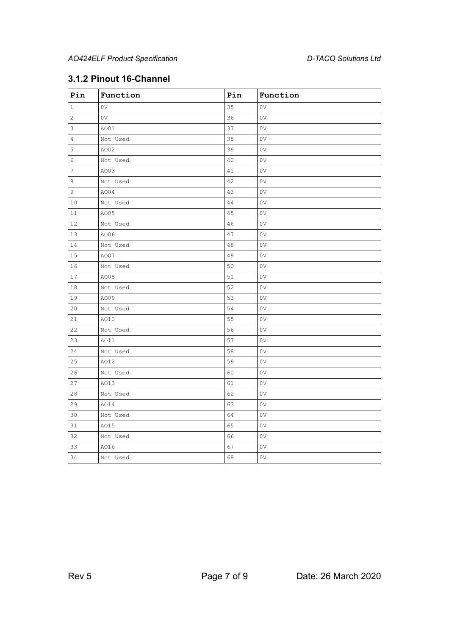### **3.1.2 Pinout 16-Channel**

| Pin            | Function | Pin | Function |
|----------------|----------|-----|----------|
| $1\,$          | 0V       | 35  | 0V       |
| $\mathbf{2}$   | 0V       | 36  | 0V       |
| 3              | AO01     | 37  | 0V       |
| $\overline{4}$ | Not Used | 38  | 0V       |
| 5              | A002     | 39  | 0V       |
| 6              | Not Used | 40  | 0V       |
| $\overline{7}$ | A003     | 41  | 0V       |
| $\,8\,$        | Not Used | 42  | 0V       |
| 9              | AO04     | 43  | 0V       |
| 10             | Not Used | 44  | 0V       |
| 11             | A005     | 45  | 0V       |
| 12             | Not Used | 46  | 0V       |
| 13             | A006     | 47  | 0V       |
| 14             | Not Used | 48  | 0V       |
| 15             | A007     | 49  | 0V       |
| 16             | Not Used | 50  | 0V       |
| 17             | A008     | 51  | 0V       |
| 18             | Not Used | 52  | 0V       |
| 19             | A009     | 53  | 0V       |
| 20             | Not Used | 54  | 0V       |
| 21             | A010     | 55  | 0V       |
| 22             | Not Used | 56  | 0V       |
| 23             | A011     | 57  | 0V       |
| 24             | Not Used | 58  | 0V       |
| 25             | A012     | 59  | 0V       |
| 26             | Not Used | 60  | 0V       |
| 27             | A013     | 61  | 0V       |
| 28             | Not Used | 62  | 0V       |
| 29             | A014     | 63  | 0V       |
| 30             | Not Used | 64  | 0V       |
| 31             | A015     | 65  | 0V       |
| 32             | Not Used | 66  | 0V       |
| 33             | A016     | 67  | 0V       |
| 34             | Not Used | 68  | 0V       |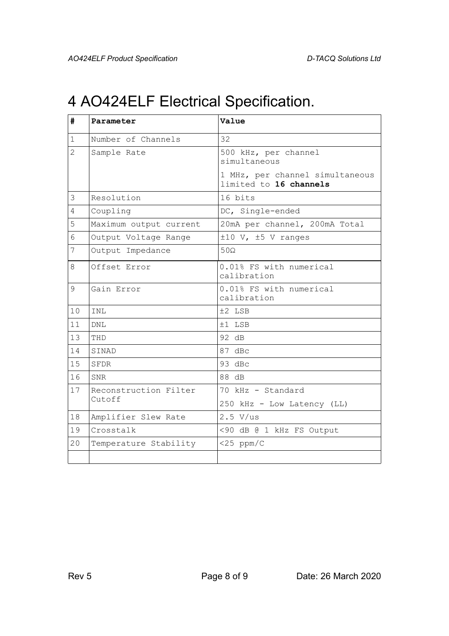## <span id="page-7-0"></span>4 AO424ELF Electrical Specification.

| #              | Parameter              | Value                                                     |  |
|----------------|------------------------|-----------------------------------------------------------|--|
| $\mathbf 1$    | Number of Channels     | 32                                                        |  |
| $\overline{2}$ | Sample Rate            | 500 kHz, per channel<br>simultaneous                      |  |
|                |                        | 1 MHz, per channel simultaneous<br>limited to 16 channels |  |
| 3              | Resolution             | 16 bits                                                   |  |
| 4              | Coupling               | DC, Single-ended                                          |  |
| 5              | Maximum output current | 20mA per channel, 200mA Total                             |  |
| 6              | Output Voltage Range   | $\pm 10$ V, $\pm 5$ V ranges                              |  |
| 7              | Output Impedance       | $50\Omega$                                                |  |
| 8              | Offset Error           | 0.01% FS with numerical<br>calibration                    |  |
| $\mathsf{Q}$   | Gain Error             | 0.01% FS with numerical<br>calibration                    |  |
| 10             | TNT.                   | ±2 LSB                                                    |  |
| 11             | <b>DNL</b>             | $±1$ LSB                                                  |  |
| 13             | THD                    | 92 dB                                                     |  |
| 14             | SINAD                  | 87 dBc                                                    |  |
| 15             | <b>SFDR</b>            | 93 dBc                                                    |  |
| 16             | <b>SNR</b>             | 88 dB                                                     |  |
| 17             | Reconstruction Filter  | 70 kHz - Standard                                         |  |
|                | Cutoff                 | 250 kHz - Low Latency (LL)                                |  |
| 18             | Amplifier Slew Rate    | $2.5$ V/us                                                |  |
| 19             | Crosstalk              | <90 dB @ 1 kHz FS Output                                  |  |
| 20             | Temperature Stability  | $<$ 25 ppm/C                                              |  |
|                |                        |                                                           |  |